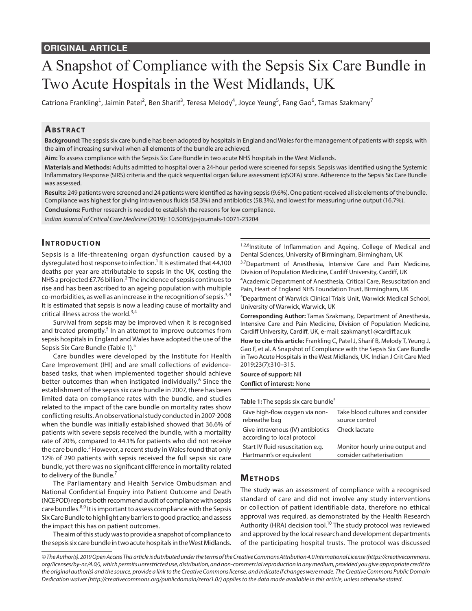# A Snapshot of Compliance with the Sepsis Six Care Bundle in Two Acute Hospitals in the West Midlands, UK

Catriona Frankling<sup>1</sup>, Jaimin Patel<sup>2</sup>, Ben Sharif<sup>3</sup>, Teresa Melody<sup>4</sup>, Joyce Yeung<sup>5</sup>, Fang Gao<sup>6</sup>, Tamas Szakmany<sup>7</sup>

# **AbstrAct**

**Background:** The sepsis six care bundle has been adopted by hospitals in England and Wales for the management of patients with sepsis, with the aim of increasing survival when all elements of the bundle are achieved.

**Aim:** To assess compliance with the Sepsis Six Care Bundle in two acute NHS hospitals in the West Midlands.

**Materials and Methods:** Adults admitted to hospital over a 24-hour period were screened for sepsis. Sepsis was identified using the Systemic Inflammatory Response (SIRS) criteria and the quick sequential organ failure assessment (qSOFA) score. Adherence to the Sepsis Six Care Bundle was assessed.

**Results:** 249 patients were screened and 24 patients were identified as having sepsis (9.6%). One patient received all six elements of the bundle. Compliance was highest for giving intravenous fluids (58.3%) and antibiotics (58.3%), and lowest for measuring urine output (16.7%).

**Conclusions:** Further research is needed to establish the reasons for low compliance.

*Indian Journal of Critical Care Medicine* (2019): 10.5005/jp-journals-10071-23204

## **Introduc tion**

Sepsis is a life-threatening organ dysfunction caused by a dysregulated host response to infection.<sup>1</sup> It is estimated that 44,100 deaths per year are attributable to sepsis in the UK, costing the NHS a projected £7.76 billion.<sup>2</sup> The incidence of sepsis continues to rise and has been ascribed to an ageing population with multiple co-morbidities, as well as an increase in the recognition of sepsis.3,4 It is estimated that sepsis is now a leading cause of mortality and critical illness across the world.<sup>3,4</sup>

Survival from sepsis may be improved when it is recognised and treated promptly.<sup>5</sup> In an attempt to improve outcomes from sepsis hospitals in England and Wales have adopted the use of the Sepsis Six Care Bundle (Table 1).<sup>5</sup>

Care bundles were developed by the Institute for Health Care Improvement (IHI) and are small collections of evidencebased tasks, that when implemented together should achieve better outcomes than when instigated individually.<sup>6</sup> Since the establishment of the sepsis six care bundle in 2007, there has been limited data on compliance rates with the bundle, and studies related to the impact of the care bundle on mortality rates show conflicting results. An observational study conducted in 2007-2008 when the bundle was initially established showed that 36.6% of patients with severe sepsis received the bundle, with a mortality rate of 20%, compared to 44.1% for patients who did not receive the care bundle.<sup>5</sup> However, a recent study in Wales found that only 12% of 290 patients with sepsis received the full sepsis six care bundle, yet there was no significant difference in mortality related to delivery of the Bundle.<sup>7</sup>

The Parliamentary and Health Service Ombudsman and National Confidential Enquiry into Patient Outcome and Death (NCEPOD) reports both recommend audit of compliance with sepsis care bundles.<sup>8,9</sup> It is important to assess compliance with the Sepsis Six Care Bundle to highlight any barriers to good practice, and assess the impact this has on patient outcomes.

The aim of this study was to provide a snapshot of compliance to the sepsis six care bundle in two acute hospitals in the West Midlands. 1,2,6Institute of Inflammation and Ageing, College of Medical and Dental Sciences, University of Birmingham, Birmingham, UK

3,7Department of Anesthesia, Intensive Care and Pain Medicine, Division of Population Medicine, Cardiff University, Cardiff, UK

<sup>4</sup> Academic Department of Anesthesia, Critical Care, Resuscitation and Pain, Heart of England NHS Foundation Trust, Birmingham, UK

5 Department of Warwick Clinical Trials Unit, Warwick Medical School, University of Warwick, Warwick, UK

**Corresponding Author:** Tamas Szakmany, Department of Anesthesia, Intensive Care and Pain Medicine, Division of Population Medicine, Cardiff University, Cardiff, UK, e-mail: szakmanyt1@cardiff.ac.uk

**How to cite this article:** Frankling C, Patel J, Sharif B, Melody T, Yeung J, Gao F, et al. A Snapshot of Compliance with the Sepsis Six Care Bundle in Two Acute Hospitals in the West Midlands, UK. Indian J Crit Care Med 2019;23(7):310–315.

**Source of support:** Nil **Conflict of interest:** None

| Table 1: The sepsis six care bundle <sup>5</sup>                 |                                  |  |  |  |  |  |
|------------------------------------------------------------------|----------------------------------|--|--|--|--|--|
| Give high-flow oxygen via non-                                   | Take blood cultures and consider |  |  |  |  |  |
| rebreathe bag                                                    | source control                   |  |  |  |  |  |
| Give intravenous (IV) antibiotics<br>according to local protocol | Check lactate                    |  |  |  |  |  |
| Start IV fluid resuscitation e.g.                                | Monitor hourly urine output and  |  |  |  |  |  |
| Hartmann's or equivalent                                         | consider catheterisation         |  |  |  |  |  |

## **METHODS**

The study was an assessment of compliance with a recognised standard of care and did not involve any study interventions or collection of patient identifiable data, therefore no ethical approval was required, as demonstrated by the Health Research Authority (HRA) decision tool.<sup>10</sup> The study protocol was reviewed and approved by the local research and development departments of the participating hospital trusts. The protocol was discussed

*© The Author(s). 2019 Open Access This article is distributed under the terms of the Creative Commons Attribution 4.0 International License (https://creativecommons. org/licenses/by-nc/4.0/), which permits unrestricted use, distribution, and non-commercial reproduction in any medium, provided you give appropriate credit to the original author(s) and the source, provide a link to the Creative Commons license, and indicate if changes were made. The Creative Commons Public Domain Dedication waiver (http://creativecommons.org/publicdomain/zero/1.0/) applies to the data made available in this article, unless otherwise stated.*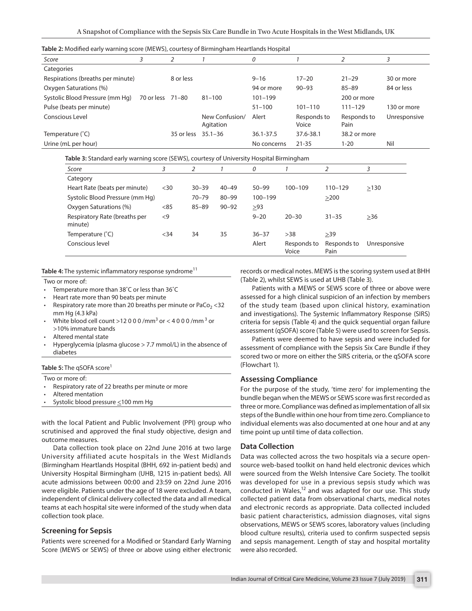|  | Table 2: Modified early warning score (MEWS), courtesy of Birmingham Heartlands Hospital |
|--|------------------------------------------------------------------------------------------|
|--|------------------------------------------------------------------------------------------|

| Score                             |            |            |                | 0           |             |              |              |
|-----------------------------------|------------|------------|----------------|-------------|-------------|--------------|--------------|
| Categories                        |            |            |                |             |             |              |              |
| Respirations (breaths per minute) |            | 8 or less  |                | $9 - 16$    | $17 - 20$   | $21 - 29$    | 30 or more   |
| Oxygen Saturations (%)            |            |            |                | 94 or more  | $90 - 93$   | $85 - 89$    | 84 or less   |
| Systolic Blood Pressure (mm Hg)   | 70 or less | 71–80      | $81 - 100$     | $101 - 199$ |             | 200 or more  |              |
| Pulse (beats per minute)          |            |            |                | $51 - 100$  | $101 - 110$ | $111 - 129$  | 130 or more  |
| Conscious Level                   |            |            | New Confusion/ | Alert       | Responds to | Responds to  | Unresponsive |
|                                   |            |            | Agitation      |             | Voice       | Pain         |              |
| Temperature (°C)                  |            | 35 or less | $35.1 - 36$    | 36.1-37.5   | 37.6-38.1   | 38.2 or more |              |
| Urine (mL per hour)               |            |            |                | No concerns | $21 - 35$   | 1-20         | Nil          |

**Table 3:** Standard early warning score (SEWS), courtesy of University Hospital Birmingham

| Score                                    |        |           |           | 0           |                      |                     |              |
|------------------------------------------|--------|-----------|-----------|-------------|----------------------|---------------------|--------------|
| Category                                 |        |           |           |             |                      |                     |              |
| Heart Rate (beats per minute)            | $30$   | $30 - 39$ | $40 - 49$ | $50 - 99$   | $100 - 109$          | $110 - 129$         | >130         |
| Systolic Blood Pressure (mm Hg)          |        | $70 - 79$ | $80 - 99$ | $100 - 199$ |                      | >200                |              |
| Oxygen Saturations (%)                   | < 85   | $85 - 89$ | $90 - 92$ | >93         |                      |                     |              |
| Respiratory Rate (breaths per<br>minute) | $\leq$ |           |           | $9 - 20$    | $20 - 30$            | $31 - 35$           | $>36$        |
| Temperature (°C)                         | $34$   | 34        | 35        | $36 - 37$   | >38                  | >39                 |              |
| Conscious level                          |        |           |           | Alert       | Responds to<br>Voice | Responds to<br>Pain | Unresponsive |

Table 4: The systemic inflammatory response syndrome<sup>11</sup>

Two or more of:

- Temperature more than 38°C or less than 36°C
- Heart rate more than 90 beats per minute
- Respiratory rate more than 20 breaths per minute or  $PaCo<sub>2</sub> < 32$ mm Hg (4.3 kPa)
- White blood cell count >12 0 0 0 /mm<sup>3</sup> or < 4 0 0 0 /mm<sup>3</sup> or >10% immature bands
- Altered mental state
- Hyperglycemia (plasma glucose > 7.7 mmol/L) in the absence of diabetes

#### **Table 5:** The qSOFA score<sup>1</sup>

- Two or more of:
- Respiratory rate of 22 breaths per minute or more
- Altered mentation
- Systolic blood pressure <100 mm Hg

with the local Patient and Public Involvement (PPI) group who scrutinised and approved the final study objective, design and outcome measures.

Data collection took place on 22nd June 2016 at two large University affiliated acute hospitals in the West Midlands (Birmingham Heartlands Hospital (BHH, 692 in-patient beds) and University Hospital Birmingham (UHB, 1215 in-patient beds). All acute admissions between 00:00 and 23:59 on 22nd June 2016 were eligible. Patients under the age of 18 were excluded. A team, independent of clinical delivery collected the data and all medical teams at each hospital site were informed of the study when data collection took place.

#### **Screening for Sepsis**

Patients were screened for a Modified or Standard Early Warning Score (MEWS or SEWS) of three or above using either electronic records or medical notes. MEWS is the scoring system used at BHH (Table 2), whilst SEWS is used at UHB (Table 3).

Patients with a MEWS or SEWS score of three or above were assessed for a high clinical suspicion of an infection by members of the study team (based upon clinical history, examination and investigations). The Systemic Inflammatory Response (SIRS) criteria for sepsis (Table 4) and the quick sequential organ failure assessment (qSOFA) score (Table 5) were used to screen for Sepsis.

Patients were deemed to have sepsis and were included for assessment of compliance with the Sepsis Six Care Bundle if they scored two or more on either the SIRS criteria, or the qSOFA score (Flowchart 1).

#### **Assessing Compliance**

For the purpose of the study, 'time zero' for implementing the bundle began when the MEWS or SEWS score was first recorded as three or more. Compliance was defined as implementation of all six steps of the Bundle within one hour from time zero. Compliance to individual elements was also documented at one hour and at any time point up until time of data collection.

#### **Data Collection**

Data was collected across the two hospitals via a secure opensource web-based toolkit on hand held electronic devices which were sourced from the Welsh Intensive Care Society. The toolkit was developed for use in a previous sepsis study which was conducted in Wales, $12$  and was adapted for our use. This study collected patient data from observational charts, medical notes and electronic records as appropriate. Data collected included basic patient characteristics, admission diagnoses, vital signs observations, MEWS or SEWS scores, laboratory values (including blood culture results), criteria used to confirm suspected sepsis and sepsis management. Length of stay and hospital mortality were also recorded.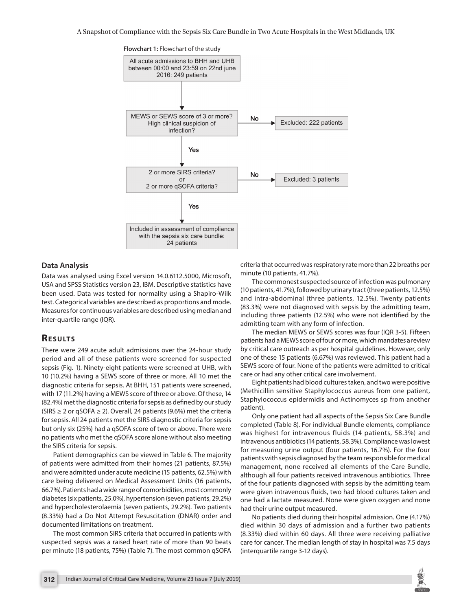

#### **Data Analysis**

Data was analysed using Excel version 14.0.6112.5000, Microsoft, USA and SPSS Statistics version 23, IBM. Descriptive statistics have been used. Data was tested for normality using a Shapiro-Wilk test. Categorical variables are described as proportions and mode. Measures for continuous variables are described using median and inter-quartile range (IQR).

## **RESULTS**

There were 249 acute adult admissions over the 24-hour study period and all of these patients were screened for suspected sepsis (Fig. 1). Ninety-eight patients were screened at UHB, with 10 (10.2%) having a SEWS score of three or more. All 10 met the diagnostic criteria for sepsis. At BHH, 151 patients were screened, with 17 (11.2%) having a MEWS score of three or above. Of these, 14 (82.4%) met the diagnostic criteria for sepsis as defined by our study (SIRS ≥ 2 or qSOFA ≥ 2). Overall, 24 patients (9.6%) met the criteria for sepsis. All 24 patients met the SIRS diagnostic criteria for sepsis but only six (25%) had a qSOFA score of two or above. There were no patients who met the qSOFA score alone without also meeting the SIRS criteria for sepsis.

Patient demographics can be viewed in Table 6. The majority of patients were admitted from their homes (21 patients, 87.5%) and were admitted under acute medicine (15 patients, 62.5%) with care being delivered on Medical Assessment Units (16 patients, 66.7%). Patients had a wide range of comorbidities, most commonly diabetes (six patients, 25.0%), hypertension (seven patients, 29.2%) and hypercholesterolaemia (seven patients, 29.2%). Two patients (8.33%) had a Do Not Attempt Resuscitation (DNAR) order and documented limitations on treatment.

The most common SIRS criteria that occurred in patients with suspected sepsis was a raised heart rate of more than 90 beats per minute (18 patients, 75%) (Table 7). The most common qSOFA criteria that occurred was respiratory rate more than 22 breaths per minute (10 patients, 41.7%).

The commonest suspected source of infection was pulmonary (10 patients, 41.7%), followed by urinary tract (three patients, 12.5%) and intra-abdominal (three patients, 12.5%). Twenty patients (83.3%) were not diagnosed with sepsis by the admitting team, including three patients (12.5%) who were not identified by the admitting team with any form of infection.

The median MEWS or SEWS scores was four (IQR 3-5). Fifteen patients had a MEWS score of four or more, which mandates a review by critical care outreach as per hospital guidelines. However, only one of these 15 patients (6.67%) was reviewed. This patient had a SEWS score of four. None of the patients were admitted to critical care or had any other critical care involvement.

Eight patients had blood cultures taken, and two were positive (Methicillin sensitive Staphylococcus aureus from one patient, Staphylococcus epidermidis and Actinomyces sp from another patient).

Only one patient had all aspects of the Sepsis Six Care Bundle completed (Table 8). For individual Bundle elements, compliance was highest for intravenous fluids (14 patients, 58.3%) and intravenous antibiotics (14 patients, 58.3%). Compliance was lowest for measuring urine output (four patients, 16.7%). For the four patients with sepsis diagnosed by the team responsible for medical management, none received all elements of the Care Bundle, although all four patients received intravenous antibiotics. Three of the four patients diagnosed with sepsis by the admitting team were given intravenous fluids, two had blood cultures taken and one had a lactate measured. None were given oxygen and none had their urine output measured.

No patients died during their hospital admission. One (4.17%) died within 30 days of admission and a further two patients (8.33%) died within 60 days. All three were receiving palliative care for cancer. The median length of stay in hospital was 7.5 days (interquartile range 3-12 days).

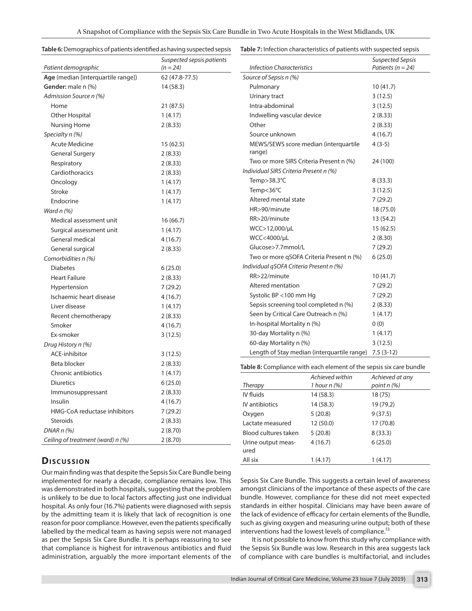| Table 6: Demographics of patients identified as having suspected sepsis |  |  |
|-------------------------------------------------------------------------|--|--|
|                                                                         |  |  |

**Table 7:** Infection characteristics of patients with suspected sepsis

|                                                           | Suspected sepsis patients    |                                                                     |                                   | <b>Suspected Sepsis</b><br>Patients ( $n = 24$ ) |  |
|-----------------------------------------------------------|------------------------------|---------------------------------------------------------------------|-----------------------------------|--------------------------------------------------|--|
| Patient demographic<br>Age (median [interquartile range]) | $(n = 24)$<br>62 (47.8-77.5) | <b>Infection Characteristics</b><br>Source of Sepsis n (%)          |                                   |                                                  |  |
| Gender: male n (%)                                        | 14(58.3)                     |                                                                     |                                   | 10(41.7)                                         |  |
| Admission Source n (%)                                    |                              | Pulmonary                                                           |                                   | 3(12.5)                                          |  |
| Home                                                      | 21(87.5)                     | Urinary tract<br>Intra-abdominal                                    |                                   | 3(12.5)                                          |  |
| Other Hospital                                            | 1(4.17)                      | Indwelling vascular device                                          |                                   | 2(8.33)                                          |  |
| <b>Nursing Home</b>                                       | 2(8.33)                      | Other                                                               |                                   | 2(8.33)                                          |  |
| Specialty n (%)                                           |                              | Source unknown                                                      |                                   | 4(16.7)                                          |  |
| <b>Acute Medicine</b>                                     | 15(62.5)                     | MEWS/SEWS score median (interquartile                               |                                   | $4(3-5)$                                         |  |
| <b>General Surgery</b>                                    | 2(8.33)                      | range)                                                              |                                   |                                                  |  |
| Respiratory                                               | 2(8.33)                      | Two or more SIRS Criteria Present n (%)                             |                                   | 24 (100)                                         |  |
| Cardiothoracics                                           | 2(8.33)                      | Individual SIRS Criteria Present n (%)                              |                                   |                                                  |  |
| Oncology                                                  | 1(4.17)                      | Temp>38.3°C                                                         |                                   | 8(33.3)                                          |  |
| Stroke                                                    | 1(4.17)                      | Temp<36°C                                                           |                                   | 3(12.5)                                          |  |
| Endocrine                                                 | 1(4.17)                      | Altered mental state                                                |                                   | 7(29.2)                                          |  |
| Ward $n$ $(\%)$                                           |                              | HR>90/minute                                                        |                                   | 18 (75.0)                                        |  |
| Medical assessment unit                                   | 16(66.7)                     | RR>20/minute                                                        |                                   | 13 (54.2)                                        |  |
| Surgical assessment unit                                  | 1(4.17)                      | WCC>12,000/µL                                                       |                                   | 15(62.5)                                         |  |
| General medical                                           | 4(16.7)                      | WCC<4000/µL                                                         |                                   | 2(8.30)                                          |  |
| General surgical                                          | 2(8.33)                      | Glucose>7.7mmol/L                                                   |                                   | 7(29.2)                                          |  |
| Comorbidities n (%)                                       |                              | Two or more qSOFA Criteria Present n (%)                            |                                   | 6(25.0)                                          |  |
| <b>Diabetes</b>                                           | 6(25.0)                      | Individual qSOFA Criteria Present n (%)                             |                                   |                                                  |  |
| <b>Heart Failure</b>                                      | 2(8.33)                      | RR>22/minute                                                        |                                   | 10(41.7)                                         |  |
| Hypertension                                              | 7(29.2)                      | Altered mentation                                                   |                                   | 7(29.2)                                          |  |
| Ischaemic heart disease                                   | 4(16.7)                      | Systolic BP <100 mm Hq                                              |                                   | 7(29.2)                                          |  |
| Liver disease                                             | 1(4.17)                      | Sepsis screening tool completed n (%)                               |                                   | 2(8.33)                                          |  |
| Recent chemotherapy                                       | 2(8.33)                      | Seen by Critical Care Outreach n (%)                                |                                   | 1(4.17)                                          |  |
| Smoker                                                    | 4(16.7)                      | In-hospital Mortality n (%)                                         |                                   | 0(0)                                             |  |
| Ex-smoker                                                 | 3(12.5)                      | 30-day Mortality n (%)                                              |                                   | 1(4.17)                                          |  |
| Drug History n (%)                                        |                              | 60-day Mortality n (%)                                              |                                   | 3(12.5)                                          |  |
| ACE-inhibitor                                             | 3(12.5)                      | Length of Stay median (interquartile range) 7.5 (3-12)              |                                   |                                                  |  |
| Beta blocker                                              | 2(8.33)                      |                                                                     |                                   |                                                  |  |
| Chronic antibiotics                                       | 1(4.17)                      | Table 8: Compliance with each element of the sepsis six care bundle |                                   |                                                  |  |
| <b>Diuretics</b>                                          | 6(25.0)                      | Therapy                                                             | Achieved within<br>1 hour $n$ (%) | Achieved at any<br>point $n$ (%)                 |  |
| Immunosuppressant                                         | 2(8.33)                      | IV fluids                                                           | 14(58.3)                          | 18(75)                                           |  |
| Insulin                                                   | 4(16.7)                      | IV antibiotics                                                      | 14 (58.3)                         | 19 (79.2)                                        |  |
| HMG-CoA reductase inhibitors                              | 7(29.2)                      | Oxygen                                                              | 5(20.8)                           | 9(37.5)                                          |  |
| <b>Steroids</b>                                           | 2(8.33)                      | Lactate measured                                                    | 12(50.0)                          | 17 (70.8)                                        |  |
| DNARn(%)                                                  | 2(8.70)                      | Blood cultures taken                                                | 5(20.8)                           | 8(33.3)                                          |  |
| Ceiling of treatment (ward) n (%)                         | 2(8.70)                      | Urine output meas-                                                  | 4(16.7)                           | 6(25.0)                                          |  |
|                                                           |                              | ured                                                                |                                   |                                                  |  |

# **D ISCUSSION is a contract of the CO CO is a contract of the CO is a contract of the CO is a contract of the CO is a contract of the CO is a contract of the CO is a contract of the CO is a contract of t**

Our main finding was that despite the Sepsis Six Care Bundle being implemented for nearly a decade, compliance remains low. This was demonstrated in both hospitals, suggesting that the problem is unlikely to be due to local factors affecting just one individual hospital. As only four (16.7%) patients were diagnosed with sepsis by the admitting team it is likely that lack of recognition is one reason for poor compliance. However, even the patients specifically labelled by the medical team as having sepsis were not managed as per the Sepsis Six Care Bundle. It is perhaps reassuring to see that compliance is highest for intravenous antibiotics and fluid administration, arguably the more important elements of the

Sepsis Six Care Bundle. This suggests a certain level of awareness amongst clinicians of the importance of these aspects of the care bundle. However, compliance for these did not meet expected standards in either hospital. Clinicians may have been aware of the lack of evidence of efficacy for certain elements of the Bundle, such as giving oxygen and measuring urine output; both of these interventions had the lowest levels of compliance.<sup>13</sup>

It is not possible to know from this study why compliance with the Sepsis Six Bundle was low. Research in this area suggests lack of compliance with care bundles is multifactorial, and includes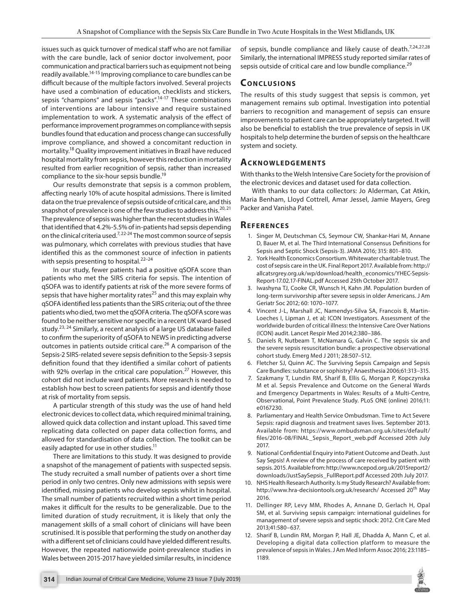issues such as quick turnover of medical staff who are not familiar with the care bundle, lack of senior doctor involvement, poor communication and practical barriers such as equipment not being readily available.14-15 Improving compliance to care bundles can be difficult because of the multiple factors involved. Several projects have used a combination of education, checklists and stickers, sepsis "champions" and sepsis "packs".<sup>14-17</sup> These combinations of interventions are labour intensive and require sustained implementation to work. A systematic analysis of the effect of performance improvement programmes on compliance with sepsis bundles found that education and process change can successfully improve compliance, and showed a concomitant reduction in mortality.18 Quality improvement initiatives in Brazil have reduced hospital mortality from sepsis, however this reduction in mortality resulted from earlier recognition of sepsis, rather than increased compliance to the six-hour sepsis bundle.<sup>19</sup>

Our results demonstrate that sepsis is a common problem, affecting nearly 10% of acute hospital admissions. There is limited data on the true prevalence of sepsis outside of critical care, and this snapshot of prevalence is one of the few studies to address this.<sup>20, 21</sup> The prevalence of sepsis was higher than the recent studies in Wales that identified that 4.2%-5.5% of in-patients had sepsis depending on the clinical criteria used.7, 22-24 The most common source of sepsis was pulmonary, which correlates with previous studies that have identified this as the commonest source of infection in patients with sepsis presenting to hospital.<sup>22-24</sup>

In our study, fewer patients had a positive qSOFA score than patients who met the SIRS criteria for sepsis. The intention of qSOFA was to identify patients at risk of the more severe forms of sepsis that have higher mortality rates<sup>25</sup> and this may explain why qSOFA identified less patients than the SIRS criteria; out of the three patients who died, two met the qSOFA criteria. The qSOFA score was found to be neither sensitive nor specific in a recent UK ward-based study.<sup>23, 24</sup> Similarly, a recent analysis of a large US database failed to confirm the superiority of qSOFA to NEWS in predicting adverse outcomes in patients outside critical care.<sup>26</sup> A comparison of the Sepsis-2 SIRS-related severe sepsis definition to the Sepsis-3 sepsis definition found that they identified a similar cohort of patients with 92% overlap in the critical care population.<sup>27</sup> However, this cohort did not include ward patients. More research is needed to establish how best to screen patients for sepsis and identify those at risk of mortality from sepsis.

A particular strength of this study was the use of hand held electronic devices to collect data, which required minimal training, allowed quick data collection and instant upload. This saved time replicating data collected on paper data collection forms, and allowed for standardisation of data collection. The toolkit can be easily adapted for use in other studies.<sup>11</sup>

There are limitations to this study. It was designed to provide a snapshot of the management of patients with suspected sepsis. The study recruited a small number of patients over a short time period in only two centres. Only new admissions with sepsis were identified, missing patients who develop sepsis whilst in hospital. The small number of patients recruited within a short time period makes it difficult for the results to be generalizable. Due to the limited duration of study recruitment, it is likely that only the management skills of a small cohort of clinicians will have been scrutinised. It is possible that performing the study on another day with a different set of clinicians could have yielded different results. However, the repeated nationwide point-prevalence studies in Wales between 2015-2017 have yielded similar results, in incidence

of sepsis, bundle compliance and likely cause of death.<sup>7,24,27,28</sup> Similarly, the international IMPRESS study reported similar rates of sepsis outside of critical care and low bundle compliance.<sup>29</sup>

# **Conc lusions**

The results of this study suggest that sepsis is common, yet management remains sub optimal. Investigation into potential barriers to recognition and management of sepsis can ensure improvements to patient care can be appropriately targeted. It will also be beneficial to establish the true prevalence of sepsis in UK hospitals to help determine the burden of sepsis on the healthcare system and society.

# **Acknow l edg ements**

With thanks to the Welsh Intensive Care Society for the provision of the electronic devices and dataset used for data collection.

With thanks to our data collectors: Jo Alderman, Cat Atkin, Maria Benham, Lloyd Cottrell, Amar Jessel, Jamie Mayers, Greg Packer and Vanisha Patel.

### **Re f er enc es**

- 1. Singer M, Deutschman CS, Seymour CW, Shankar-Hari M, Annane D, Bauer M, et al. The Third International Consensus Definitions for Sepsis and Septic Shock (Sepsis-3). JAMA 2016; 315: 801–810.
- 2. York Health Economics Consortium. Whitewater charitable trust. The cost of sepsis care in the UK. Final Report 2017. Available from: http:// allcatsrgrey.org.uk/wp/download/health\_economics/YHEC-Sepsis-Report-17.02.17-FINAL.pdf Accessed 25th October 2017.
- 3. Iwashyna TJ, Cooke CR, Wunsch H, Kahn JM. Population burden of long-term survivorship after severe sepsis in older Americans. J Am Geriatr Soc 2012; 60: 1070–1077.
- 4. Vincent J-L, Marshall JC, Namendys-Silva SA, Francois B, Martin-Loeches I, Lipman J, et al; ICON Investigators. Assessment of the worldwide burden of critical illness: the Intensive Care Over Nations (ICON) audit. Lancet Respir Med 2014;2:380–386.
- 5. Daniels R, Nutbeam T, McNamara G, Galvin C. The sepsis six and the severe sepsis resuscitation bundle: a prospective observational cohort study. Emerg Med J 2011; 28:507–512.
- 6. Fletcher SJ, Quinn AC. The Surviving Sepsis Campaign and Sepsis Care Bundles: substance or sophistry? Anaesthesia 2006;61:313–315.
- Szakmany T, Lundin RM, Sharif B, Ellis G, Morgan P, Kopczynska M et al. Sepsis Prevalence and Outcome on the General Wards and Emergency Departments in Wales: Results of a Multi-Centre, Observational, Point Prevalence Study. PLoS ONE (online) 2016;11: e0167230.
- 8. Parliamentary and Health Service Ombudsman. Time to Act Severe Sepsis: rapid diagnosis and treatment saves lives. September 2013. Available from: https://www.ombudsman.org.uk/sites/default/ files/2016-08/FINAL\_Sepsis\_Report\_web.pdf Accessed 20th July 2017.
- 9. National Confidential Enquiry into Patient Outcome and Death. Just Say Sepsis! A review of the process of care received by patient with sepsis. 2015. Available from: http://www.ncepod.org.uk/2015report2/ downloads/JustSaySepsis\_FullReport.pdf Accessed 20th July 2017.
- 10. NHS Health Research Authority. Is my Study Research? Available from: http://www.hra-decisiontools.org.uk/research/ Accessed 20<sup>th</sup> May 2016.
- 11. Dellinger RP, Levy MM, Rhodes A, Annane D, Gerlach H, Opal SM, et al. Surviving sepsis campaign: international guidelines for management of severe sepsis and septic shock: 2012. Crit Care Med 2013;41:580–637.
- 12. Sharif B, Lundin RM, Morgan P, Hall JE, Dhadda A, Mann C, et al. Developing a digital data collection platform to measure the prevalence of sepsis in Wales. J Am Med Inform Assoc 2016; 23:1185– 1189.